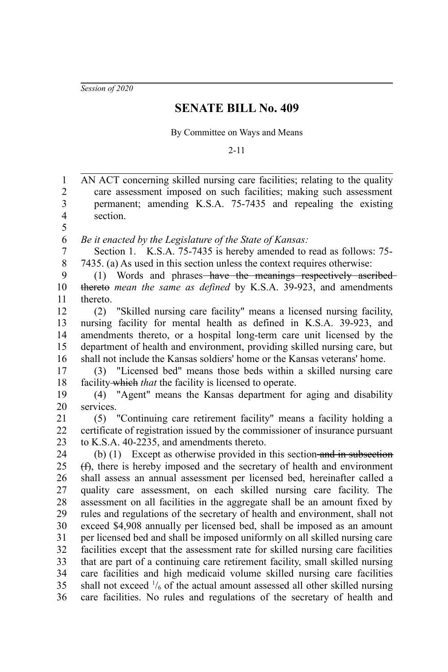*Session of 2020*

## **SENATE BILL No. 409**

By Committee on Ways and Means

2-11

AN ACT concerning skilled nursing care facilities; relating to the quality care assessment imposed on such facilities; making such assessment permanent; amending K.S.A. 75-7435 and repealing the existing section. *Be it enacted by the Legislature of the State of Kansas:* Section 1. K.S.A. 75-7435 is hereby amended to read as follows: 75- 7435. (a) As used in this section unless the context requires otherwise: (1) Words and phrases have the meanings respectively ascribed thereto *mean the same as defined* by K.S.A. 39-923, and amendments thereto. (2) "Skilled nursing care facility" means a licensed nursing facility, nursing facility for mental health as defined in K.S.A. 39-923, and amendments thereto, or a hospital long-term care unit licensed by the department of health and environment, providing skilled nursing care, but shall not include the Kansas soldiers' home or the Kansas veterans' home. (3) "Licensed bed" means those beds within a skilled nursing care facility which *that* the facility is licensed to operate. (4) "Agent" means the Kansas department for aging and disability services. (5) "Continuing care retirement facility" means a facility holding a certificate of registration issued by the commissioner of insurance pursuant to K.S.A. 40-2235, and amendments thereto. (b) (1) Except as otherwise provided in this section and in subsection (f), there is hereby imposed and the secretary of health and environment shall assess an annual assessment per licensed bed, hereinafter called a quality care assessment, on each skilled nursing care facility. The assessment on all facilities in the aggregate shall be an amount fixed by rules and regulations of the secretary of health and environment, shall not exceed \$4,908 annually per licensed bed, shall be imposed as an amount per licensed bed and shall be imposed uniformly on all skilled nursing care facilities except that the assessment rate for skilled nursing care facilities that are part of a continuing care retirement facility, small skilled nursing care facilities and high medicaid volume skilled nursing care facilities shall not exceed  $\frac{1}{6}$  of the actual amount assessed all other skilled nursing care facilities. No rules and regulations of the secretary of health and 1 2 3 4 5 6 7 8 9 10 11 12 13 14 15 16 17 18 19 20 21 22 23 24 25 26 27 28 29 30 31 32 33 34 35 36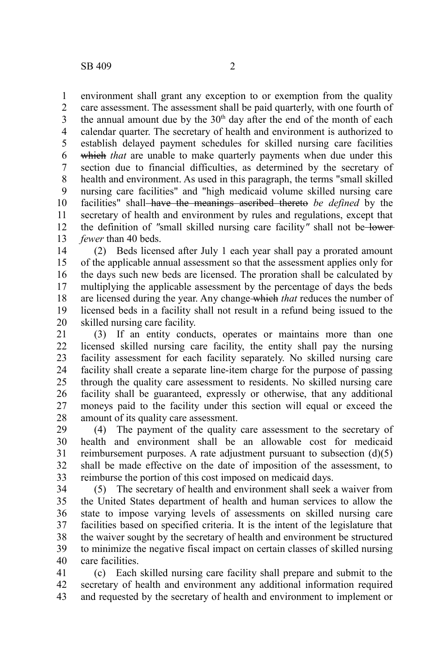environment shall grant any exception to or exemption from the quality care assessment. The assessment shall be paid quarterly, with one fourth of the annual amount due by the  $30<sup>th</sup>$  day after the end of the month of each calendar quarter. The secretary of health and environment is authorized to establish delayed payment schedules for skilled nursing care facilities which *that* are unable to make quarterly payments when due under this section due to financial difficulties, as determined by the secretary of health and environment. As used in this paragraph, the terms "small skilled nursing care facilities" and "high medicaid volume skilled nursing care facilities" shall have the meanings ascribed thereto *be defined* by the secretary of health and environment by rules and regulations, except that the definition of *"*small skilled nursing care facility*"* shall not be lower *fewer* than 40 beds. 1 2 3 4 5 6 7 8 9 10 11 12 13

(2) Beds licensed after July 1 each year shall pay a prorated amount of the applicable annual assessment so that the assessment applies only for the days such new beds are licensed. The proration shall be calculated by multiplying the applicable assessment by the percentage of days the beds are licensed during the year. Any change which *that* reduces the number of licensed beds in a facility shall not result in a refund being issued to the skilled nursing care facility. 14 15 16 17 18 19 20

(3) If an entity conducts, operates or maintains more than one licensed skilled nursing care facility, the entity shall pay the nursing facility assessment for each facility separately. No skilled nursing care facility shall create a separate line-item charge for the purpose of passing through the quality care assessment to residents. No skilled nursing care facility shall be guaranteed, expressly or otherwise, that any additional moneys paid to the facility under this section will equal or exceed the amount of its quality care assessment. 21 22 23 24 25 26 27 28

(4) The payment of the quality care assessment to the secretary of health and environment shall be an allowable cost for medicaid reimbursement purposes. A rate adjustment pursuant to subsection (d)(5) shall be made effective on the date of imposition of the assessment, to reimburse the portion of this cost imposed on medicaid days. 29 30 31 32 33

(5) The secretary of health and environment shall seek a waiver from the United States department of health and human services to allow the state to impose varying levels of assessments on skilled nursing care facilities based on specified criteria. It is the intent of the legislature that the waiver sought by the secretary of health and environment be structured to minimize the negative fiscal impact on certain classes of skilled nursing care facilities. 34 35 36 37 38 39 40

(c) Each skilled nursing care facility shall prepare and submit to the secretary of health and environment any additional information required and requested by the secretary of health and environment to implement or 41 42 43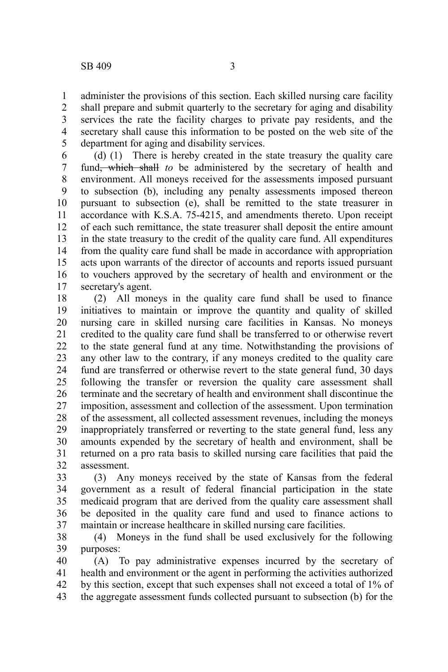administer the provisions of this section. Each skilled nursing care facility shall prepare and submit quarterly to the secretary for aging and disability services the rate the facility charges to private pay residents, and the secretary shall cause this information to be posted on the web site of the department for aging and disability services. 1 2 3 4 5

(d) (1) There is hereby created in the state treasury the quality care fund, which shall *to* be administered by the secretary of health and environment. All moneys received for the assessments imposed pursuant to subsection (b), including any penalty assessments imposed thereon pursuant to subsection (e), shall be remitted to the state treasurer in accordance with K.S.A. 75-4215, and amendments thereto. Upon receipt of each such remittance, the state treasurer shall deposit the entire amount in the state treasury to the credit of the quality care fund. All expenditures from the quality care fund shall be made in accordance with appropriation acts upon warrants of the director of accounts and reports issued pursuant to vouchers approved by the secretary of health and environment or the secretary's agent. 6 7 8 9 10 11 12 13 14 15 16 17

(2) All moneys in the quality care fund shall be used to finance initiatives to maintain or improve the quantity and quality of skilled nursing care in skilled nursing care facilities in Kansas. No moneys credited to the quality care fund shall be transferred to or otherwise revert to the state general fund at any time. Notwithstanding the provisions of any other law to the contrary, if any moneys credited to the quality care fund are transferred or otherwise revert to the state general fund, 30 days following the transfer or reversion the quality care assessment shall terminate and the secretary of health and environment shall discontinue the imposition, assessment and collection of the assessment. Upon termination of the assessment, all collected assessment revenues, including the moneys inappropriately transferred or reverting to the state general fund, less any amounts expended by the secretary of health and environment, shall be returned on a pro rata basis to skilled nursing care facilities that paid the assessment. 18 19 20 21 22 23 24 25 26 27 28 29 30 31 32

(3) Any moneys received by the state of Kansas from the federal government as a result of federal financial participation in the state medicaid program that are derived from the quality care assessment shall be deposited in the quality care fund and used to finance actions to maintain or increase healthcare in skilled nursing care facilities. 33 34 35 36 37

(4) Moneys in the fund shall be used exclusively for the following purposes: 38 39

(A) To pay administrative expenses incurred by the secretary of health and environment or the agent in performing the activities authorized by this section, except that such expenses shall not exceed a total of 1% of the aggregate assessment funds collected pursuant to subsection (b) for the 40 41 42 43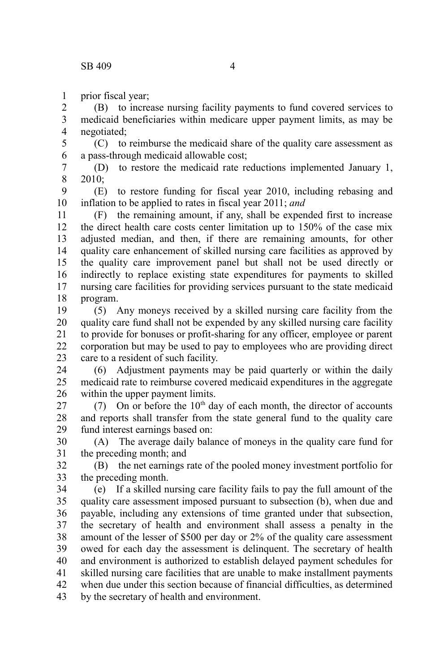prior fiscal year; 1

(B) to increase nursing facility payments to fund covered services to medicaid beneficiaries within medicare upper payment limits, as may be negotiated; 2 3 4

(C) to reimburse the medicaid share of the quality care assessment as a pass-through medicaid allowable cost; 5 6

(D) to restore the medicaid rate reductions implemented January 1, 2010; 7 8

(E) to restore funding for fiscal year 2010, including rebasing and inflation to be applied to rates in fiscal year 2011; *and* 9 10

(F) the remaining amount, if any, shall be expended first to increase the direct health care costs center limitation up to 150% of the case mix adjusted median, and then, if there are remaining amounts, for other quality care enhancement of skilled nursing care facilities as approved by the quality care improvement panel but shall not be used directly or indirectly to replace existing state expenditures for payments to skilled nursing care facilities for providing services pursuant to the state medicaid program. 11 12 13 14 15 16 17 18

(5) Any moneys received by a skilled nursing care facility from the quality care fund shall not be expended by any skilled nursing care facility to provide for bonuses or profit-sharing for any officer, employee or parent corporation but may be used to pay to employees who are providing direct care to a resident of such facility. 19 20 21 22 23

(6) Adjustment payments may be paid quarterly or within the daily medicaid rate to reimburse covered medicaid expenditures in the aggregate within the upper payment limits. 24 25 26

(7) On or before the  $10<sup>th</sup>$  day of each month, the director of accounts and reports shall transfer from the state general fund to the quality care fund interest earnings based on: 27 28 29

(A) The average daily balance of moneys in the quality care fund for the preceding month; and 30 31

(B) the net earnings rate of the pooled money investment portfolio for the preceding month. 32 33

(e) If a skilled nursing care facility fails to pay the full amount of the quality care assessment imposed pursuant to subsection (b), when due and payable, including any extensions of time granted under that subsection, the secretary of health and environment shall assess a penalty in the amount of the lesser of \$500 per day or 2% of the quality care assessment owed for each day the assessment is delinquent. The secretary of health and environment is authorized to establish delayed payment schedules for skilled nursing care facilities that are unable to make installment payments when due under this section because of financial difficulties, as determined by the secretary of health and environment. 34 35 36 37 38 39 40 41 42 43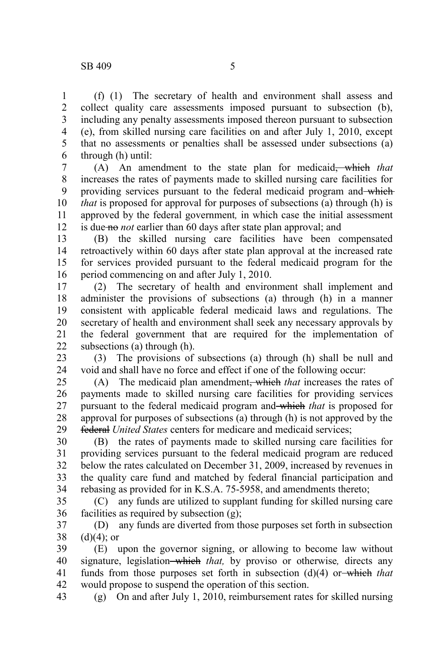1 2 3

(f) (1) The secretary of health and environment shall assess and collect quality care assessments imposed pursuant to subsection (b), including any penalty assessments imposed thereon pursuant to subsection (e), from skilled nursing care facilities on and after July 1, 2010, except

that no assessments or penalties shall be assessed under subsections (a) through (h) until: 4 5 6

(A) An amendment to the state plan for medicaid, which *that* increases the rates of payments made to skilled nursing care facilities for providing services pursuant to the federal medicaid program and which *that* is proposed for approval for purposes of subsections (a) through (h) is approved by the federal government*,* in which case the initial assessment is due no *not* earlier than 60 days after state plan approval; and 7 8 9 10 11 12

(B) the skilled nursing care facilities have been compensated retroactively within 60 days after state plan approval at the increased rate for services provided pursuant to the federal medicaid program for the period commencing on and after July 1, 2010. 13 14 15 16

(2) The secretary of health and environment shall implement and administer the provisions of subsections (a) through (h) in a manner consistent with applicable federal medicaid laws and regulations. The secretary of health and environment shall seek any necessary approvals by the federal government that are required for the implementation of subsections (a) through (h). 17 18 19 20 21 22

(3) The provisions of subsections (a) through (h) shall be null and void and shall have no force and effect if one of the following occur: 23 24

(A) The medicaid plan amendment, which *that* increases the rates of payments made to skilled nursing care facilities for providing services pursuant to the federal medicaid program and which *that* is proposed for approval for purposes of subsections (a) through (h) is not approved by the federal *United States* centers for medicare and medicaid services; 25 26 27 28 29

(B) the rates of payments made to skilled nursing care facilities for providing services pursuant to the federal medicaid program are reduced below the rates calculated on December 31, 2009, increased by revenues in the quality care fund and matched by federal financial participation and rebasing as provided for in K.S.A. 75-5958, and amendments thereto; 30 31 32 33 34

(C) any funds are utilized to supplant funding for skilled nursing care facilities as required by subsection (g); 35 36

(D) any funds are diverted from those purposes set forth in subsection  $(d)(4)$ ; or 37 38

(E) upon the governor signing, or allowing to become law without signature, legislation-which *that*, by proviso or otherwise, directs any funds from those purposes set forth in subsection (d)(4) or which *that* would propose to suspend the operation of this section. 39 40 41 42

(g) On and after July 1, 2010, reimbursement rates for skilled nursing 43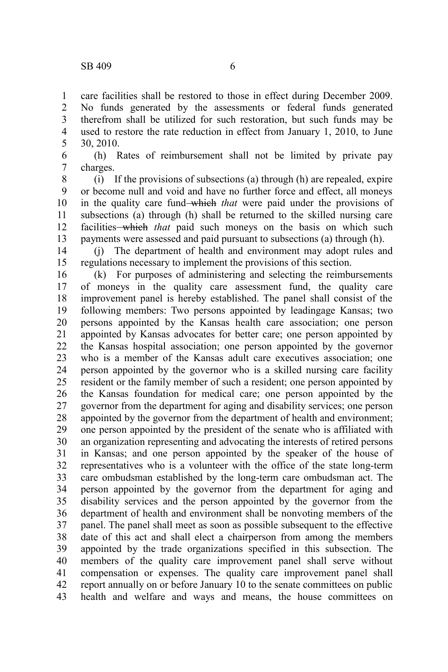care facilities shall be restored to those in effect during December 2009. No funds generated by the assessments or federal funds generated therefrom shall be utilized for such restoration, but such funds may be used to restore the rate reduction in effect from January 1, 2010, to June 30, 2010. 1 2 3 4 5

(h) Rates of reimbursement shall not be limited by private pay charges. 6 7

(i) If the provisions of subsections (a) through (h) are repealed, expire or become null and void and have no further force and effect, all moneys in the quality care fund which *that* were paid under the provisions of subsections (a) through (h) shall be returned to the skilled nursing care facilities which *that* paid such moneys on the basis on which such payments were assessed and paid pursuant to subsections (a) through (h). 8 9 10 11 12 13

(j) The department of health and environment may adopt rules and regulations necessary to implement the provisions of this section. 14 15

(k) For purposes of administering and selecting the reimbursements of moneys in the quality care assessment fund, the quality care improvement panel is hereby established. The panel shall consist of the following members: Two persons appointed by leadingage Kansas; two persons appointed by the Kansas health care association; one person appointed by Kansas advocates for better care; one person appointed by the Kansas hospital association; one person appointed by the governor who is a member of the Kansas adult care executives association; one person appointed by the governor who is a skilled nursing care facility resident or the family member of such a resident; one person appointed by the Kansas foundation for medical care; one person appointed by the governor from the department for aging and disability services; one person appointed by the governor from the department of health and environment; one person appointed by the president of the senate who is affiliated with an organization representing and advocating the interests of retired persons in Kansas; and one person appointed by the speaker of the house of representatives who is a volunteer with the office of the state long-term care ombudsman established by the long-term care ombudsman act. The person appointed by the governor from the department for aging and disability services and the person appointed by the governor from the department of health and environment shall be nonvoting members of the panel. The panel shall meet as soon as possible subsequent to the effective date of this act and shall elect a chairperson from among the members appointed by the trade organizations specified in this subsection. The members of the quality care improvement panel shall serve without compensation or expenses. The quality care improvement panel shall report annually on or before January 10 to the senate committees on public health and welfare and ways and means, the house committees on 16 17 18 19 20 21 22 23 24 25 26 27 28 29 30 31 32 33 34 35 36 37 38 39 40 41 42 43